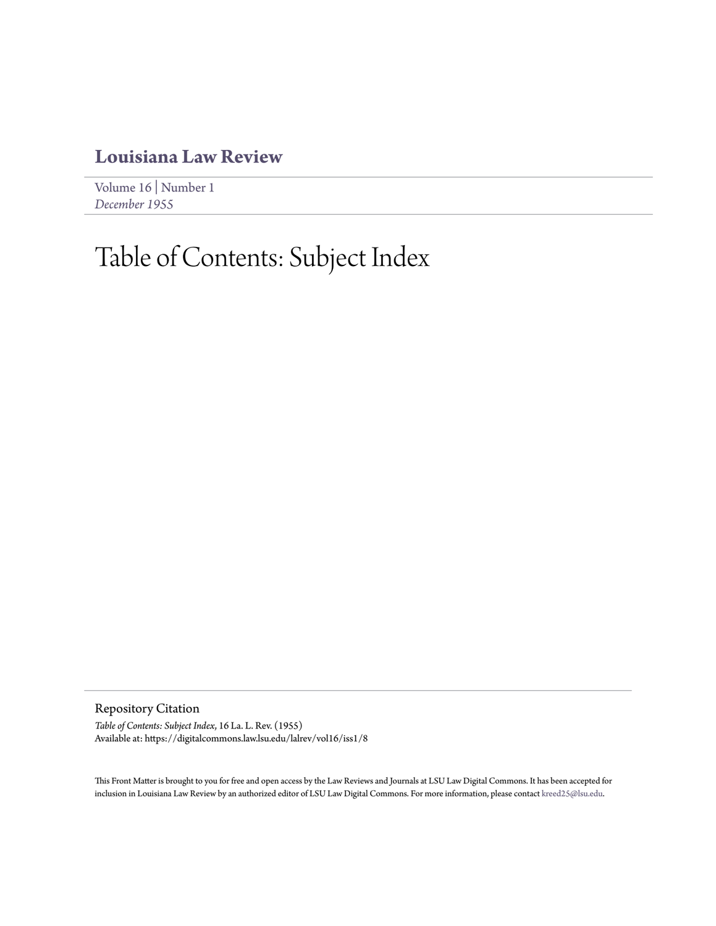## **[Louisiana Law Review](https://digitalcommons.law.lsu.edu/lalrev)**

[Volume 16](https://digitalcommons.law.lsu.edu/lalrev/vol16) | [Number 1](https://digitalcommons.law.lsu.edu/lalrev/vol16/iss1) *[December 1955](https://digitalcommons.law.lsu.edu/lalrev/vol16/iss1)*

## Table of Contents: Subject Index

Repository Citation

*Table of Contents: Subject Index*, 16 La. L. Rev. (1955) Available at: https://digitalcommons.law.lsu.edu/lalrev/vol16/iss1/8

This Front Matter is brought to you for free and open access by the Law Reviews and Journals at LSU Law Digital Commons. It has been accepted for inclusion in Louisiana Law Review by an authorized editor of LSU Law Digital Commons. For more information, please contact [kreed25@lsu.edu](mailto:kreed25@lsu.edu).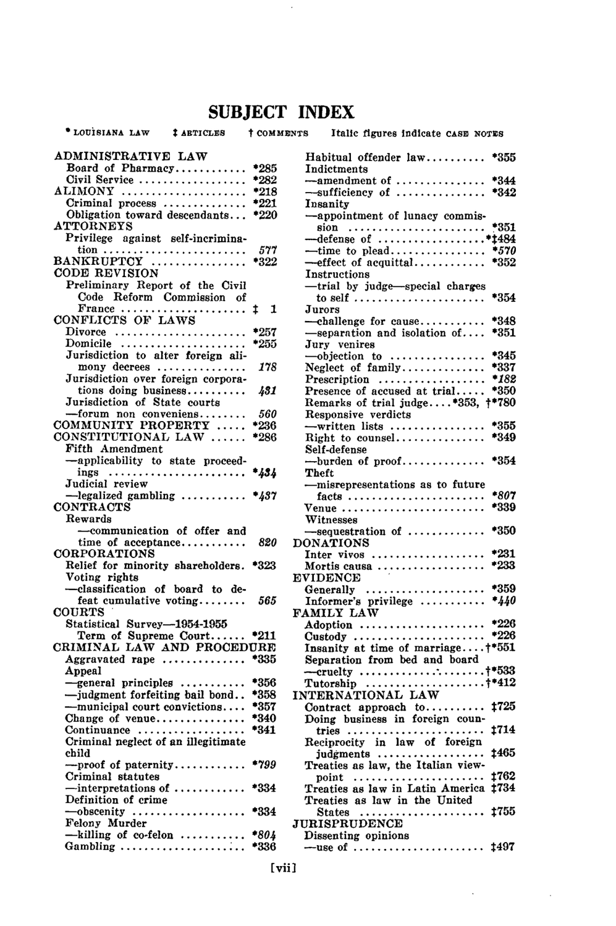## **SUBJECT INDEX**

**LOUISIANA LAW ARTICLES** t **COMMENTS** Italic figures indicate **CASE** NOTES ADMINISTRATIVE LAW Board of Pharmacy **............ \*285** Civil Service .................. **\*282** ALIMONY ..................... **\*218** Criminal process .............. \*221 Obligation toward descendants... \*220 ATTORNEYS Privilege against self-incrimination ........................ *577* BANKRUPTCY ................ **\*322 CODE** REVISION Preliminary Report of the Civil Code Reform Commission of  $\text{France} \dots \dots \dots \dots \dots \dots \dots \vdots \quad 1$ CONFLICTS OF LAWS Divorce ...................... \*257 Domicile ..................... \*255 Jurisdiction to alter foreign alimony decrees ............... *178* Jurisdiction over foreign corporations doing business .......... *.481* Jurisdiction of State courts -forum non conveniens ........ *560* COMMUNITY PROPERTY **.....** \*236 CONSTITUTIONAL LAW ...... \*286 Fifth Amendment -applicability to state proceedings ....................... *\*434* Judicial review -legalized gambling ........... *\*437* **CONTRACTS** Rewards -communication of offer and time of acceptance ........... *820* CORPORATIONS Relief for minority shareholders. \*323 Voting rights -classification of board to defeat cumulative voting ........ *565* COURTS Statistical Survey-1954-1955 Term of Supreme Court **......** \*211 CRIMINAL LAW **AND** PROCEDURE Aggravated rape .............. **\*335** Appeal -general principles ........... **\*356** -judgment forfeiting bail bond. **.** \*358 -municipal court convictions **.... \*357** Change of venue................  $*340$ Continuance ................... \*341 Criminal neglect of an illegitimate child -proof of paternity ............ *\*799* Criminal statutes -interpretations of ............ \*334 Definition of crime -obscenity ................... \*334 Felony Murder -killing of co-felon ........... *\*804* Gambling ..................... **\*336**

Habitual offender law **.......... \*355** Indictments -amendment of **...............** \*344 -sufficiency of **...............** \*342 Insanity -appointment of lunacy commission **....................... \*351** -defense of **..................** \*j484 - time to plead **................** *\*570* -effect of acquittal **............ \*352 Instructions** -trial **by** judge-special charges to self **......................** \*354 Jurors -challenge for cause........... \*348 -separation and isolation **of .... \*351** Jury venires -objection to **................** \*345 Neglect of family **.............. \*337** Prescription **.................. \*182** Presence of accused at trial **..... \*350** Remarks of trial judge....\*353, †\*780<br>Responsive verdicts Responsive verdicts - written lists **................ \*355** Right to counsel **...............** \*349 Self-defense -burden of proof **..............** \*354 Theft -misrepresentations as to future facts **.......................** *\*807* Venue **........................ 0339** Witnesses -sequestration of **............. \*350 DONATIONS** Inter vivos **................... \*231** Mortis causa **.................. \*233 EVIDENCE** Generally **.................... \*359** Informer's privilege **...........** *\*440* FAMILY LAW Adoption **.....................** \*226 Custody **...................... \*226** Insanity at time of marriage **....** t'551 Separation from bed and board -cruelty **.................... t\*533** Tutorship **.................... t'412 INTERNATIONAL** LAW Contract approach to **..........** t725 Doing business in foreign countries .......................... **1714** Reciprocity in law of foreign judgments **..................** t465 Treaties as law, the Italian viewpoint **......................** t762 Treaties as law in Latin America  $1734$ Treaties as law in the United States **..................... :755** JURISPRUDENCE<br>Dissenting opinions Dissenting opinions - use of **...................... \$497**